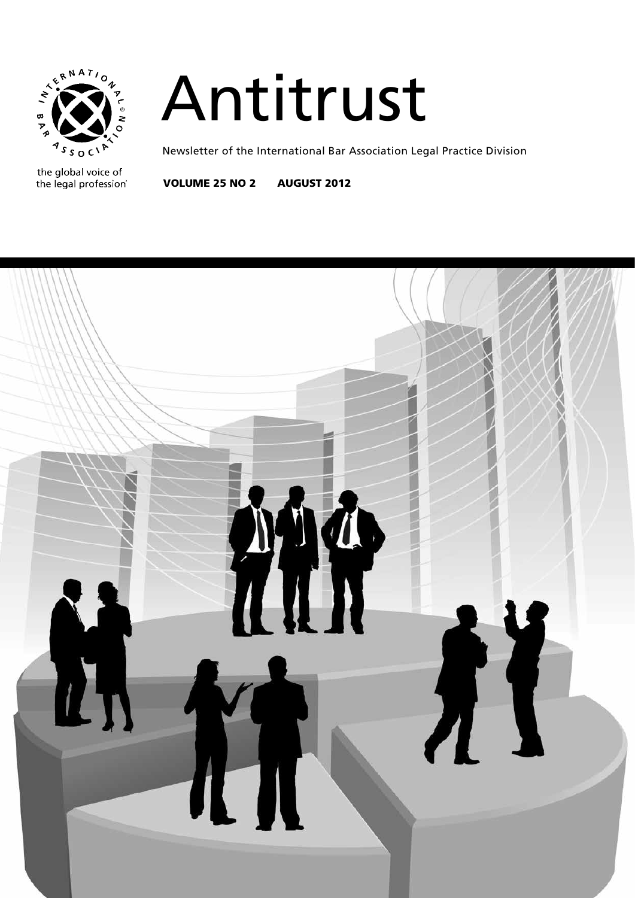

# Antitrust

Newsletter of the International Bar Association Legal Practice Division

the global voice of the legal profession®

Volume 25 No 2 august 2012

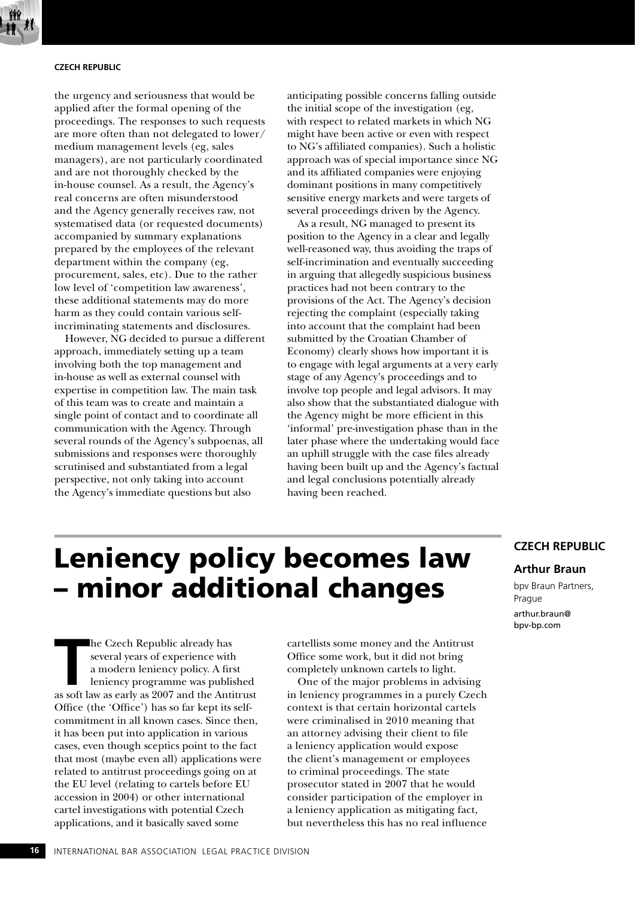

#### **Czech Republic**

the urgency and seriousness that would be applied after the formal opening of the proceedings. The responses to such requests are more often than not delegated to lower/ medium management levels (eg, sales managers), are not particularly coordinated and are not thoroughly checked by the in-house counsel. As a result, the Agency's real concerns are often misunderstood and the Agency generally receives raw, not systematised data (or requested documents) accompanied by summary explanations prepared by the employees of the relevant department within the company (eg, procurement, sales, etc). Due to the rather low level of 'competition law awareness', these additional statements may do more harm as they could contain various selfincriminating statements and disclosures.

However, NG decided to pursue a different approach, immediately setting up a team involving both the top management and in-house as well as external counsel with expertise in competition law. The main task of this team was to create and maintain a single point of contact and to coordinate all communication with the Agency. Through several rounds of the Agency's subpoenas, all submissions and responses were thoroughly scrutinised and substantiated from a legal perspective, not only taking into account the Agency's immediate questions but also

anticipating possible concerns falling outside the initial scope of the investigation (eg, with respect to related markets in which NG might have been active or even with respect to NG's affiliated companies). Such a holistic approach was of special importance since NG and its affiliated companies were enjoying dominant positions in many competitively sensitive energy markets and were targets of several proceedings driven by the Agency.

As a result, NG managed to present its position to the Agency in a clear and legally well-reasoned way, thus avoiding the traps of self-incrimination and eventually succeeding in arguing that allegedly suspicious business practices had not been contrary to the provisions of the Act. The Agency's decision rejecting the complaint (especially taking into account that the complaint had been submitted by the Croatian Chamber of Economy) clearly shows how important it is to engage with legal arguments at a very early stage of any Agency's proceedings and to involve top people and legal advisors. It may also show that the substantiated dialogue with the Agency might be more efficient in this 'informal' pre-investigation phase than in the later phase where the undertaking would face an uphill struggle with the case files already having been built up and the Agency's factual and legal conclusions potentially already having been reached.

## Leniency policy becomes law – minor additional changes

**THE CENT SET SOFT SET SOFT ASSESS SERVIDE A SET AN AMONG THE ANN APPROX A SET AND THE ANTITED AS 2007 and the Antitrust as soft law as early as 2007 and the Antitrust** he Czech Republic already has several years of experience with a modern leniency policy. A first leniency programme was published Office (the 'Office') has so far kept its selfcommitment in all known cases. Since then, it has been put into application in various cases, even though sceptics point to the fact that most (maybe even all) applications were related to antitrust proceedings going on at the EU level (relating to cartels before EU accession in 2004) or other international cartel investigations with potential Czech applications, and it basically saved some

cartellists some money and the Antitrust Office some work, but it did not bring completely unknown cartels to light.

One of the major problems in advising in leniency programmes in a purely Czech context is that certain horizontal cartels were criminalised in 2010 meaning that an attorney advising their client to file a leniency application would expose the client's management or employees to criminal proceedings. The state prosecutor stated in 2007 that he would consider participation of the employer in a leniency application as mitigating fact, but nevertheless this has no real influence

### **Czech Republic**

#### **Arthur Braun**

bpv Braun Partners, Prague arthur.braun@ bpv-bp.com